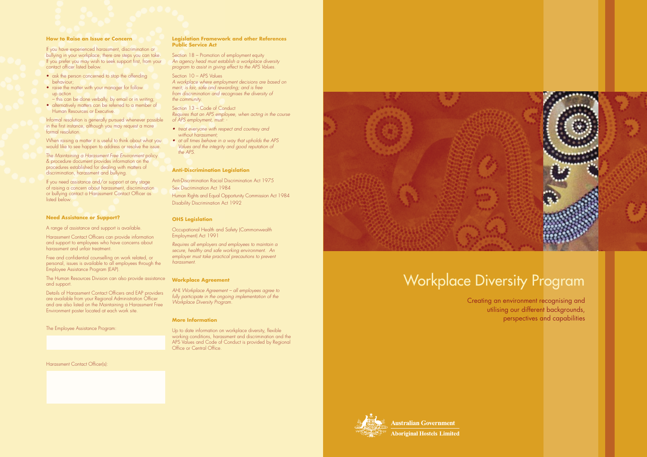### **How to Raise an Issue or Concern**

If you have experienced harassment, discrimination or bullying in your workplace, there are steps you can take. If you prefer you may wish to seek support first, from your contact officer listed below.

- ask the person concerned to stop the offending behaviour;
- raise the matter with your manager for follow up action
- this can be done verbally, by email or in writing;
- alternatively matters can be referred to a member of Human Resources or Executive.

When raising a matter it is useful to think about what you would like to see happen to address or resolve the issue.

The Maintaining a Harassment Free Environment policy & procedure document provides information on the procedures established for dealing with matters of discrimination, harassment and bullying.

If you need assistance and/or support at any stage of raising a concern about harassment, discrimination or bullying contact a Harassment Contact Officer as listed below.

Informal resolution is generally pursued whenever possible in the first instance, although you may request a more formal resolution.

### Section 13 – Code of Conduct Requires that an APS employee, when acting in the course of APS employment, must:

### **Need Assistance or Support?**

A range of assistance and support is available.

Harassment Contact Officers can provide information and support to employees who have concerns about harassment and unfair treatment.

- treat everyone with respect and courtesy and without harassment:
- at all times behave in a way that upholds the APS Values and the integrity and good reputation of the APS.

Free and confidential counselling on work related, or personal, issues is available to all employees through the Employee Assistance Program (EAP).

The Human Resources Division can also provide assistance and support.

> AHL Workplace Agreement - all employees agree to fully participate in the ongoing implementation of the Workplace Diversity Program.

Details of Harassment Contact Officers and EAP providers are available from your Regional Administration Officer and are also listed on the Maintaining a Harassment Free Environment poster located at each work site.

The Employee Assistance Program:

### Harassment Contact Officer(s):

### **Legislation Framework and other References Public Service Act**

Section 18 – Promotion of employment equity An agency head must establish a workplace diversity program to assist in giving effect to the APS Values.

### Section 10 – APS Values

A workplace where employment decisions are based on merit; is fair, safe and rewarding; and is free from discrimination and recognises the diversity of the community.

### **Anti-Discrimination Legislation**

Anti-Discrimination Racial Discrimination Act 1975 Sex Discrimination Act 1984 Human Rights and Equal Opportunity Commission Act 1984 Disability Discrimination Act 1992

### **OHS Legislation**

Occupational Health and Safety (Commonwealth Employment) Act 1991

Requires all employers and employees to maintain a secure, healthy and safe working environment. An employer must take practical precautions to prevent harassment.

### **Workplace Agreement**

### **More Information**

Up to date information on workplace diversity, flexible working conditions, harassment and discrimination and the APS Values and Code of Conduct is provided by Regional Office or Central Office.



## Workplace Diversity Program

Creating an environment recognising and utilising our different backgrounds, perspectives and capabilities